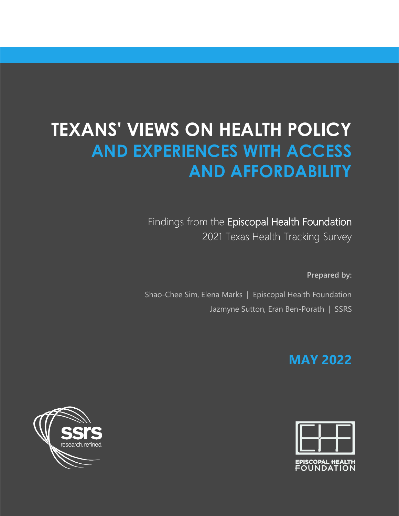# **TEXANS' VIEWS ON HEALTH POLICY AND EXPERIENCES WITH ACCESS AND AFFORDABILITY**

Findings from the Episcopal Health Foundation 2021 Texas Health Tracking Survey

**Prepared by:** 

Shao-Chee Sim, Elena Marks | Episcopal Health Foundation Jazmyne Sutton, Eran Ben-Porath | SSRS

## **MAY 2022**



EPISCOPAL <del>H</del>EALTH<br>FOUNDATION

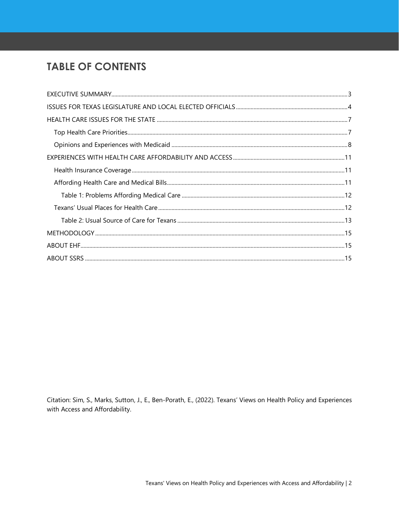### **TABLE OF CONTENTS**

Citation: Sim, S., Marks, Sutton, J., E., Ben-Porath, E., (2022). Texans' Views on Health Policy and Experiences with Access and Affordability.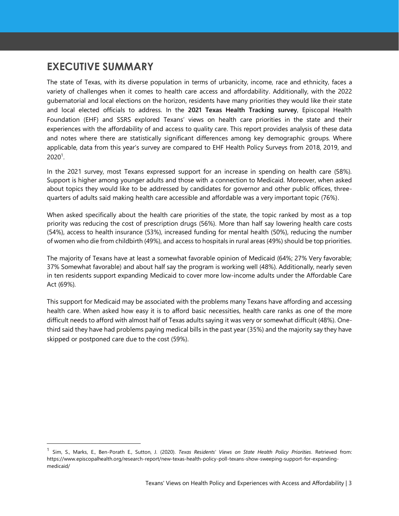### <span id="page-2-0"></span>**EXECUTIVE SUMMARY**

The state of Texas, with its diverse population in terms of urbanicity, income, race and ethnicity, faces a variety of challenges when it comes to health care access and affordability. Additionally, with the 2022 gubernatorial and local elections on the horizon, residents have many priorities they would like their state and local elected officials to address. In the **2021 Texas Health Tracking survey**, Episcopal Health Foundation (EHF) and SSRS explored Texans' views on health care priorities in the state and their experiences with the affordability of and access to quality care. This report provides analysis of these data and notes where there are statistically significant differences among key demographic groups. Where applicable, data from this year's survey are compared to EHF Health Policy Surveys from 2018, 2019, and 2020<sup>1</sup>.

In the 2021 survey, most Texans expressed support for an increase in spending on health care (58%). Support is higher among younger adults and those with a connection to Medicaid. Moreover, when asked about topics they would like to be addressed by candidates for governor and other public offices, threequarters of adults said making health care accessible and affordable was a very important topic (76%).

When asked specifically about the health care priorities of the state, the topic ranked by most as a top priority was reducing the cost of prescription drugs (56%). More than half say lowering health care costs (54%), access to health insurance (53%), increased funding for mental health (50%), reducing the number of women who die from childbirth (49%), and access to hospitals in rural areas (49%) should be top priorities.

The majority of Texans have at least a somewhat favorable opinion of Medicaid (64%; 27% Very favorable; 37% Somewhat favorable) and about half say the program is working well (48%). Additionally, nearly seven in ten residents support expanding Medicaid to cover more low-income adults under the Affordable Care Act (69%).

This support for Medicaid may be associated with the problems many Texans have affording and accessing health care. When asked how easy it is to afford basic necessities, health care ranks as one of the more difficult needs to afford with almost half of Texas adults saying it was very or somewhat difficult (48%). Onethird said they have had problems paying medical bills in the past year (35%) and the majority say they have skipped or postponed care due to the cost (59%).

<sup>1</sup> Sim, S., Marks, E., Ben-Porath E., Sutton, J. (2020). *Texas Residents' Views on State Health Policy Priorities*. Retrieved from: https://www.episcopalhealth.org/research-report/new-texas-health-policy-poll-texans-show-sweeping-support-for-expandingmedicaid/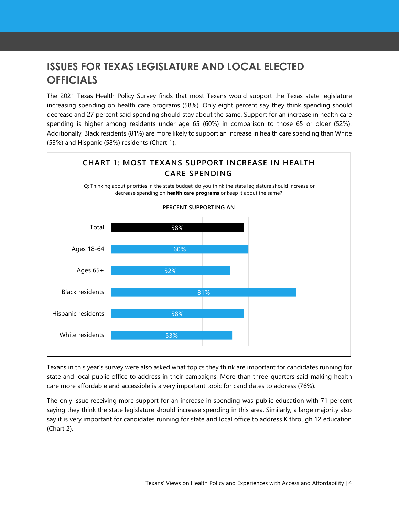### <span id="page-3-0"></span>**ISSUES FOR TEXAS LEGISLATURE AND LOCAL ELECTED OFFICIALS**

The 2021 Texas Health Policy Survey finds that most Texans would support the Texas state legislature increasing spending on health care programs (58%). Only eight percent say they think spending should decrease and 27 percent said spending should stay about the same. Support for an increase in health care spending is higher among residents under age 65 (60%) in comparison to those 65 or older (52%). Additionally, Black residents (81%) are more likely to support an increase in health care spending than White (53%) and Hispanic (58%) residents (Chart 1).



Texans in this year's survey were also asked what topics they think are important for candidates running for state and local public office to address in their campaigns. More than three-quarters said making health care more affordable and accessible is a very important topic for candidates to address (76%).

The only issue receiving more support for an increase in spending was public education with 71 percent saying they think the state legislature should increase spending in this area. Similarly, a large majority also say it is very important for candidates running for state and local office to address K through 12 education (Chart 2).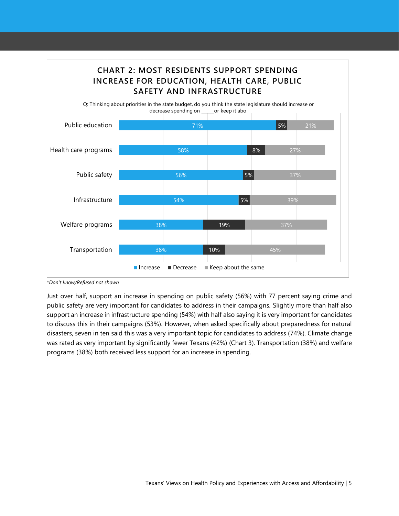

\**Don't know/Refused not shown*

Just over half, support an increase in spending on public safety (56%) with 77 percent saying crime and public safety are very important for candidates to address in their campaigns. Slightly more than half also support an increase in infrastructure spending (54%) with half also saying it is very important for candidates to discuss this in their campaigns (53%). However, when asked specifically about preparedness for natural disasters, seven in ten said this was a very important topic for candidates to address (74%). Climate change was rated as very important by significantly fewer Texans (42%) (Chart 3). Transportation (38%) and welfare programs (38%) both received less support for an increase in spending.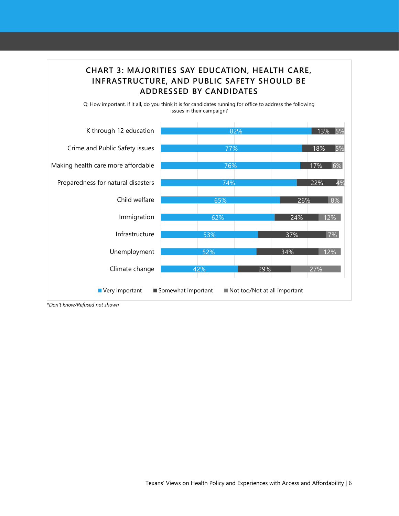

Q: How important, if it all, do you think it is for candidates running for office to address the following issues in their campaign?



\**Don't know/Refused not shown*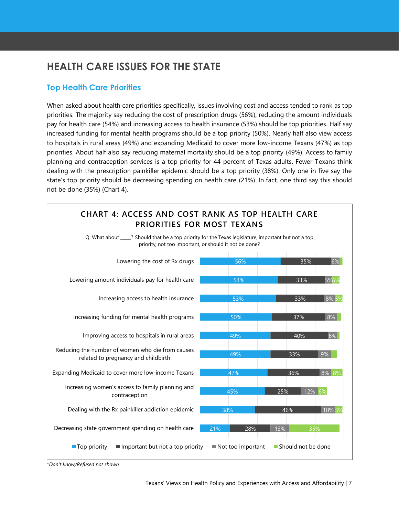### <span id="page-6-0"></span>**HEALTH CARE ISSUES FOR THE STATE**

#### <span id="page-6-1"></span>**Top Health Care Priorities**

When asked about health care priorities specifically, issues involving cost and access tended to rank as top priorities. The majority say reducing the cost of prescription drugs (56%), reducing the amount individuals pay for health care (54%) and increasing access to health insurance (53%) should be top priorities. Half say increased funding for mental health programs should be a top priority (50%). Nearly half also view access to hospitals in rural areas (49%) and expanding Medicaid to cover more low-income Texans (47%) as top priorities. About half also say reducing maternal mortality should be a top priority (49%). Access to family planning and contraception services is a top priority for 44 percent of Texas adults. Fewer Texans think dealing with the prescription painkiller epidemic should be a top priority (38%). Only one in five say the state's top priority should be decreasing spending on health care (21%). In fact, one third say this should not be done (35%) (Chart 4).

#### **CHART 4: ACCESS AND COST RANK AS TOP HEALTH CARE PRIORITIES FOR MOST TEXANS**

Q: What about \_\_\_\_\_? Should that be a top priority for the Texas legislature, important but not a top priority, not too important, or should it not be done?



<sup>\*</sup>*Don't know/Refused not shown*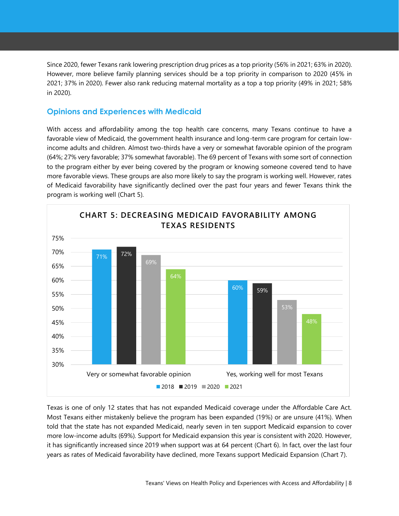Since 2020, fewer Texans rank lowering prescription drug prices as a top priority (56% in 2021; 63% in 2020). However, more believe family planning services should be a top priority in comparison to 2020 (45% in 2021; 37% in 2020). Fewer also rank reducing maternal mortality as a top a top priority (49% in 2021; 58% in 2020).

#### <span id="page-7-0"></span>**Opinions and Experiences with Medicaid**

With access and affordability among the top health care concerns, many Texans continue to have a favorable view of Medicaid, the government health insurance and long-term care program for certain lowincome adults and children. Almost two-thirds have a very or somewhat favorable opinion of the program (64%; 27% very favorable; 37% somewhat favorable). The 69 percent of Texans with some sort of connection to the program either by ever being covered by the program or knowing someone covered tend to have more favorable views. These groups are also more likely to say the program is working well. However, rates of Medicaid favorability have significantly declined over the past four years and fewer Texans think the program is working well (Chart 5).



Texas is one of only 12 states that has not expanded Medicaid coverage under the Affordable Care Act. Most Texans either mistakenly believe the program has been expanded (19%) or are unsure (41%). When told that the state has not expanded Medicaid, nearly seven in ten support Medicaid expansion to cover more low-income adults (69%). Support for Medicaid expansion this year is consistent with 2020. However, it has significantly increased since 2019 when support was at 64 percent (Chart 6). In fact, over the last four years as rates of Medicaid favorability have declined, more Texans support Medicaid Expansion (Chart 7).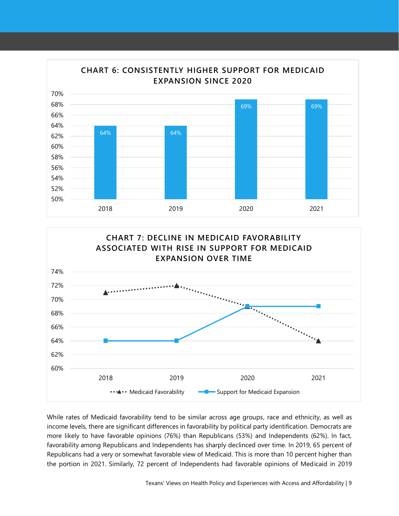



While rates of Medicaid favorability tend to be similar across age groups, race and ethnicity, as well as income levels, there are significant differences in favorability by political party identification. Democrats are more likely to have favorable opinions (76%) than Republicans (53%) and Independents (62%). In fact, favorability among Republicans and Independents has sharply declinced over time. In 2019, 65 percent of Republicans had a very or somewhat favorable view of Medicaid. This is more than 10 percent higher than the portion in 2021. Similarly, 72 percent of Independents had favorable opinions of Medicaid in 2019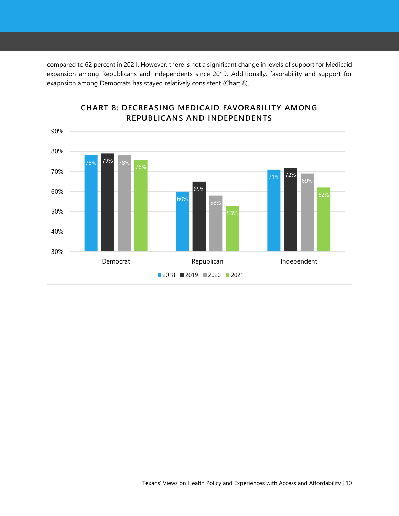compared to 62 percent in 2021. However, there is not a significant change in levels of support for Medicaid expansion among Republicans and Independents since 2019. Additionally, favorability and support for exapnsion among Democrats has stayed relatively consistent (Chart 8).

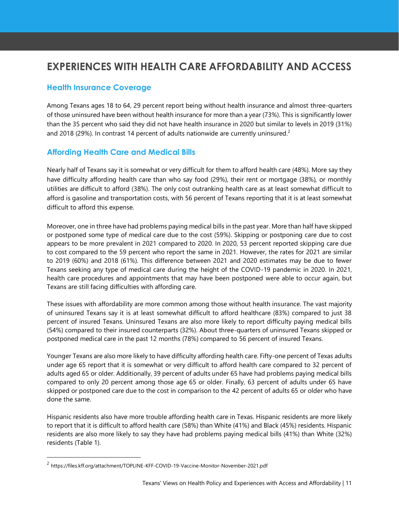### <span id="page-10-0"></span>**EXPERIENCES WITH HEALTH CARE AFFORDABILITY AND ACCESS**

#### <span id="page-10-1"></span>**Health Insurance Coverage**

Among Texans ages 18 to 64, 29 percent report being without health insurance and almost three-quarters of those uninsured have been without health insurance for more than a year (73%). This is significantly lower than the 35 percent who said they did not have health insurance in 2020 but similar to levels in 2019 (31%) and 2018 (29%). In contrast 14 percent of adults nationwide are currently uninsured.<sup>2</sup>

#### <span id="page-10-2"></span>**Affording Health Care and Medical Bills**

Nearly half of Texans say it is somewhat or very difficult for them to afford health care (48%). More say they have difficulty affording health care than who say food (29%), their rent or mortgage (38%), or monthly utilities are difficult to afford (38%). The only cost outranking health care as at least somewhat difficult to afford is gasoline and transportation costs, with 56 percent of Texans reporting that it is at least somewhat difficult to afford this expense.

Moreover, one in three have had problems paying medical bills in the past year. More than half have skipped or postponed some type of medical care due to the cost (59%). Skipping or postponing care due to cost appears to be more prevalent in 2021 compared to 2020. In 2020, 53 percent reported skipping care due to cost compared to the 59 percent who report the same in 2021. However, the rates for 2021 are similar to 2019 (60%) and 2018 (61%). This difference between 2021 and 2020 estimates may be due to fewer Texans seeking any type of medical care during the height of the COVID-19 pandemic in 2020. In 2021, health care procedures and appointments that may have been postponed were able to occur again, but Texans are still facing difficulties with affording care.

These issues with affordability are more common among those without health insurance. The vast majority of uninsured Texans say it is at least somewhat difficult to afford healthcare (83%) compared to just 38 percent of insured Texans. Uninsured Texans are also more likely to report difficulty paying medical bills (54%) compared to their insured counterparts (32%). About three-quarters of uninsured Texans skipped or postponed medical care in the past 12 months (78%) compared to 56 percent of insured Texans.

Younger Texans are also more likely to have difficulty affording health care. Fifty-one percent of Texas adults under age 65 report that it is somewhat or very difficult to afford health care compared to 32 percent of adults aged 65 or older. Additionally, 39 percent of adults under 65 have had problems paying medical bills compared to only 20 percent among those age 65 or older. Finally, 63 percent of adults under 65 have skipped or postponed care due to the cost in comparison to the 42 percent of adults 65 or older who have done the same.

Hispanic residents also have more trouble affording health care in Texas. Hispanic residents are more likely to report that it is difficult to afford health care (58%) than White (41%) and Black (45%) residents. Hispanic residents are also more likely to say they have had problems paying medical bills (41%) than White (32%) residents (Table 1).

<sup>&</sup>lt;sup>2</sup> https://files.kff.org/attachment/TOPLINE-KFF-COVID-19-Vaccine-Monitor-November-2021.pdf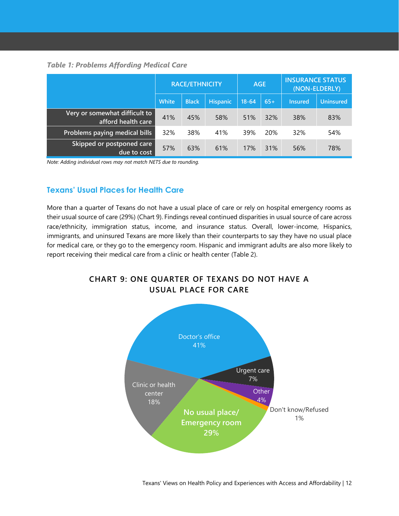#### <span id="page-11-0"></span>*Table 1: Problems Affording Medical Care*

|                                                     | <b>RACE/ETHNICITY</b> |              |                 | <b>AGE</b> |            | <b>INSURANCE STATUS</b><br>(NON-ELDERLY) |                  |
|-----------------------------------------------------|-----------------------|--------------|-----------------|------------|------------|------------------------------------------|------------------|
|                                                     | White                 | <b>Black</b> | <b>Hispanic</b> | $18 - 64$  | $65+$      | Insured                                  | <b>Uninsured</b> |
| Very or somewhat difficult to<br>afford health care | 41%                   | 45%          | 58%             | 51%        | 32%        | 38%                                      | 83%              |
| Problems paying medical bills                       | 32%                   | 38%          | 41%             | 39%        | <b>20%</b> | 32%                                      | 54%              |
| Skipped or postponed care<br>due to cost            | 57%                   | 63%          | 61%             | 17%        | 31%        | 56%                                      | 78%              |

<span id="page-11-1"></span>*Note: Adding individual rows may not match NETS due to rounding.*

#### **Texans' Usual Places for Health Care**

More than a quarter of Texans do not have a usual place of care or rely on hospital emergency rooms as their usual source of care (29%) (Chart 9). Findings reveal continued disparities in usual source of care across race/ethnicity, immigration status, income, and insurance status. Overall, lower-income, Hispanics, immigrants, and uninsured Texans are more likely than their counterparts to say they have no usual place for medical care, or they go to the emergency room. Hispanic and immigrant adults are also more likely to report receiving their medical care from a clinic or health center (Table 2).

#### **CHART 9: ONE QUARTER OF TEXANS DO NOT HAVE A USUAL PLACE FOR CARE**

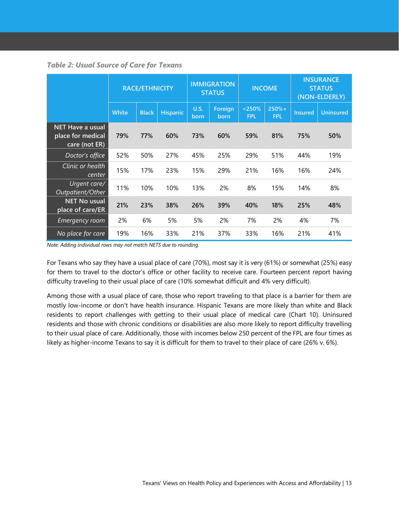<span id="page-12-0"></span>

|  | <b>Table 2: Usual Source of Care for Texans</b> |  |  |  |
|--|-------------------------------------------------|--|--|--|
|--|-------------------------------------------------|--|--|--|

|                                                               | <b>RACE/ETHNICITY</b> |              | <b>IMMIGRATION</b><br><b>STATUS</b> |                     | <b>INCOME</b>   |                      | <b>INSURANCE</b><br><b>STATUS</b><br>(NON-ELDERLY) |                |                  |
|---------------------------------------------------------------|-----------------------|--------------|-------------------------------------|---------------------|-----------------|----------------------|----------------------------------------------------|----------------|------------------|
|                                                               | <b>White</b>          | <b>Black</b> | <b>Hispanic</b>                     | <b>U.S.</b><br>born | Foreign<br>born | < 250%<br><b>FPL</b> | $250% +$<br><b>FPL</b>                             | <b>Insured</b> | <b>Uninsured</b> |
| <b>NET Have a usual</b><br>place for medical<br>care (not ER) | 79%                   | 77%          | 60%                                 | 73%                 | 60%             | 59%                  | 81%                                                | 75%            | 50%              |
| Doctor's office                                               | 52%                   | 50%          | 27%                                 | 45%                 | 25%             | 29%                  | 51%                                                | 44%            | 19%              |
| Clinic or health<br>center                                    | 15%                   | 17%          | 23%                                 | 15%                 | 29%             | 21%                  | 16%                                                | 16%            | 24%              |
| Urgent care/<br>Outpatient/Other                              | 11%                   | 10%          | 10%                                 | 13%                 | 2%              | 8%                   | 15%                                                | 14%            | 8%               |
| <b>NET No usual</b><br>place of care/ER                       | 21%                   | 23%          | 38%                                 | 26%                 | 39%             | 40%                  | 18%                                                | 25%            | 48%              |
| <b>Emergency room</b>                                         | 2%                    | 6%           | 5%                                  | 5%                  | 2%              | 7%                   | 2%                                                 | 4%             | 7%               |
| No place for care                                             | 19%                   | 16%          | 33%                                 | 21%                 | 37%             | 33%                  | 16%                                                | 21%            | 41%              |

*Note: Adding individual rows may not match NETS due to rounding.*

For Texans who say they have a usual place of care (70%), most say it is very (61%) or somewhat (25%) easy for them to travel to the doctor's office or other facility to receive care. Fourteen percent report having difficulty traveling to their usual place of care (10% somewhat difficult and 4% very difficult).

Among those with a usual place of care, those who report traveling to that place is a barrier for them are mostly low-income or don't have health insurance. Hispanic Texans are more likely than white and Black residents to report challenges with getting to their usual place of medical care (Chart 10). Uninsured residents and those with chronic conditions or disabilities are also more likely to report difficulty travelling to their usual place of care. Additionally, those with incomes below 250 percent of the FPL are four times as likely as higher-income Texans to say it is difficult for them to travel to their place of care (26% v. 6%).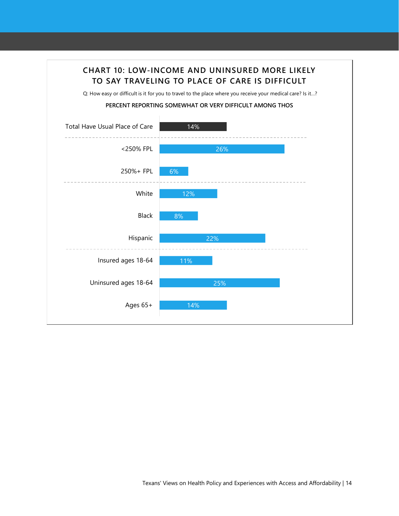